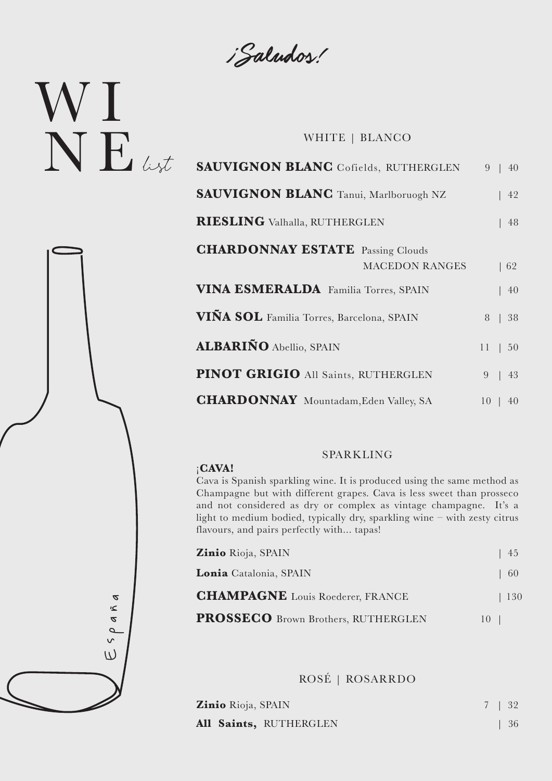¡Saludos!

# W I  $N E$ ust

### WHITE | BLANCO

| <b>SAUVIGNON BLANC</b> Cofields, RUTHERGLEN  |          | $9 \mid 40$                        |
|----------------------------------------------|----------|------------------------------------|
| <b>SAUVIGNON BLANC</b> Tanui, Marlboruogh NZ |          | 42                                 |
| <b>RIESLING</b> Valhalla, RUTHERGLEN         |          | 48                                 |
| <b>CHARDONNAY ESTATE</b> Passing Clouds      |          |                                    |
| <b>MACEDON RANGES</b>                        |          | $\begin{bmatrix} 62 \end{bmatrix}$ |
| <b>VINA ESMERALDA</b> Familia Torres, SPAIN  |          | 40                                 |
| VIÑA SOL Familia Torres, Barcelona, SPAIN    |          | 8   38                             |
| <b>ALBARIÑO Abellio, SPAIN</b>               |          | $11 \,   \, 50$                    |
| <b>PINOT GRIGIO All Saints, RUTHERGLEN</b>   | $9 \mid$ | 43                                 |
| <b>CHARDONNAY</b> Mountadam, Eden Valley, SA | $10-1$   | 40                                 |

### ¡**CAVA!**

#### SPARKLING

Cava is Spanish sparkling wine. It is produced using the same method as Champagne but with different grapes. Cava is less sweet than prosseco and not considered as dry or complex as vintage champagne. It's a light to medium bodied, typically dry, sparkling wine – with zesty citrus flavours, and pairs perfectly with... tapas!

|                                      | Zinio Rioja, SPAIN                         | 45  |
|--------------------------------------|--------------------------------------------|-----|
|                                      | Lonia Catalonia, SPAIN                     | 60  |
| $\boldsymbol{z}$                     | <b>CHAMPAGNE</b> Louis Roederer, FRANCE    | 130 |
| $\leq$<br>$\boldsymbol{\mathcal{A}}$ | <b>PROSSECO</b> Brown Brothers, RUTHERGLEN | 10  |
| $\mathsf{v}$                         |                                            |     |
| L)                                   |                                            |     |

ROSÉ | ROSARRDO

| Zinio Rioja, SPAIN     |  | 7   32     |
|------------------------|--|------------|
| All Saints, RUTHERGLEN |  | $\vert$ 36 |